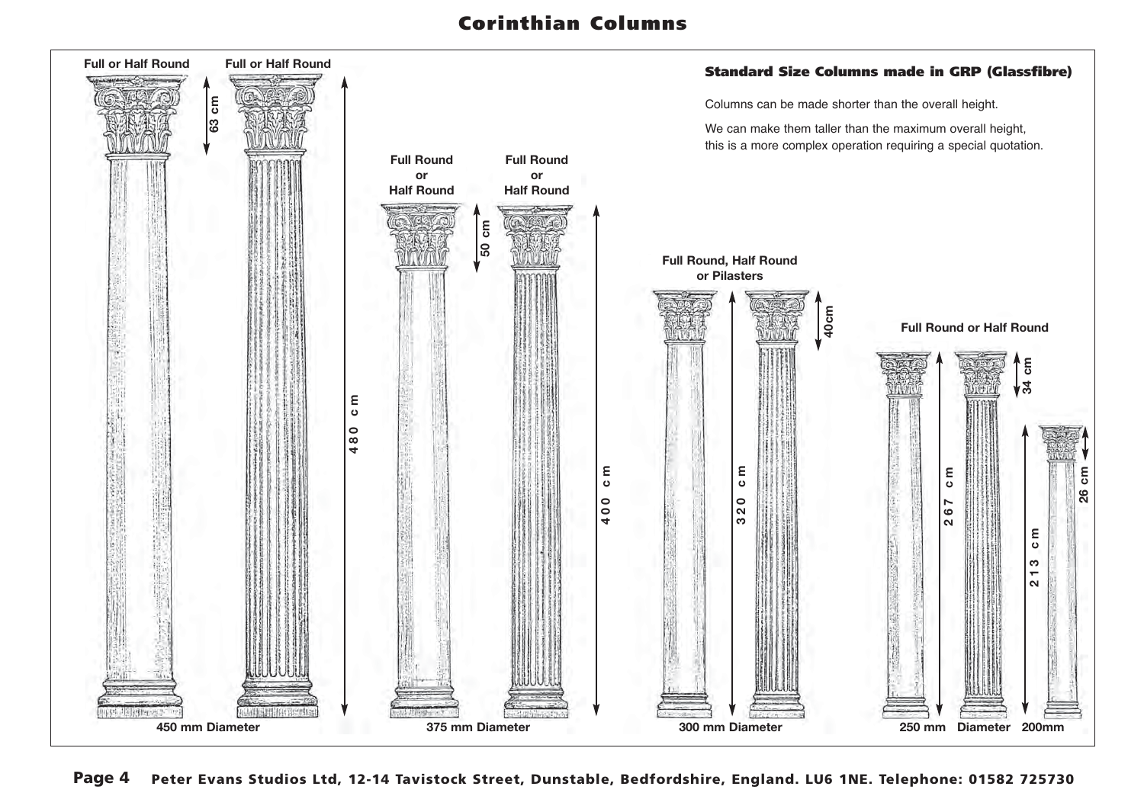## **Corinthian Columns**



**Page 4 Peter Evans Studios Ltd, 12-14 Tavistock Street, Dunstable, Bedfordshire, England. LU6 1NE. Telephone: 01582 725730**